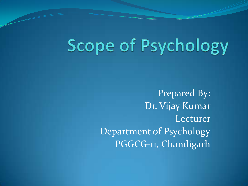# Scope of Psychology

Prepared By: Dr. Vijay Kumar Lecturer Department of Psychology PGGCG-11, Chandigarh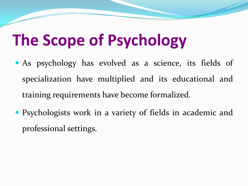# **The Scope of Psychology**

- As psychology has evolved as a science, its fields of specialization have multiplied and its educational and training requirements have become formalized.
- Psychologists work in a variety of fields in academic and professional settings.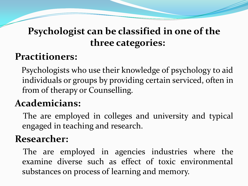## **Psychologist can be classified in one of the three categories:**

#### **Practitioners:**

Psychologists who use their knowledge of psychology to aid individuals or groups by providing certain serviced, often in from of therapy or Counselling.

#### **Academicians:**

The are employed in colleges and university and typical engaged in teaching and research.

#### **Researcher:**

The are employed in agencies industries where the examine diverse such as effect of toxic environmental substances on process of learning and memory.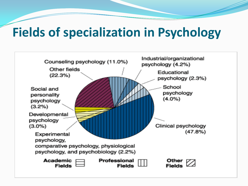# **Fields of specialization in Psychology**

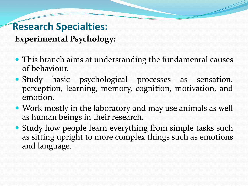# **Research Specialties:**

**Experimental Psychology:**

- This branch aims at understanding the fundamental causes of behaviour.
- Study basic psychological processes as sensation, perception, learning, memory, cognition, motivation, and emotion.
- Work mostly in the laboratory and may use animals as well as human beings in their research.
- Study how people learn everything from simple tasks such as sitting upright to more complex things such as emotions and language.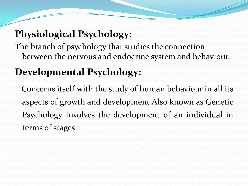### **Physiological Psychology:**

The branch of psychology that studies the connection between the nervous and endocrine system and behaviour.

# **Developmental Psychology:**

Concerns itself with the study of human behaviour in all its aspects of growth and development Also known as Genetic Psychology Involves the development of an individual in terms of stages.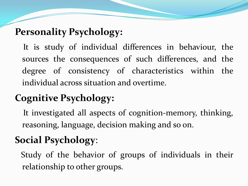### **Personality Psychology:**

It is study of individual differences in behaviour, the sources the consequences of such differences, and the degree of consistency of characteristics within the individual across situation and overtime.

# **Cognitive Psychology:**

It investigated all aspects of cognition-memory, thinking, reasoning, language, decision making and so on.

# **Social Psychology**:

Study of the behavior of groups of individuals in their relationship to other groups.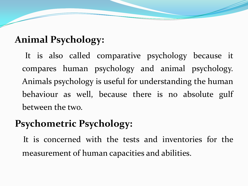#### **Animal Psychology:**

It is also called comparative psychology because it compares human psychology and animal psychology. Animals psychology is useful for understanding the human behaviour as well, because there is no absolute gulf between the two.

### **Psychometric Psychology:**

It is concerned with the tests and inventories for the measurement of human capacities and abilities.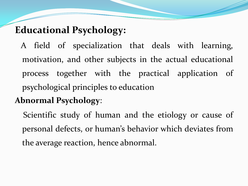### **Educational Psychology:**

A field of specialization that deals with learning, motivation, and other subjects in the actual educational process together with the practical application of psychological principles to education

#### **Abnormal Psychology**:

Scientific study of human and the etiology or cause of personal defects, or human's behavior which deviates from the average reaction, hence abnormal.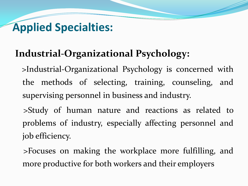# **Applied Specialties:**

#### **Industrial-Organizational Psychology:**

>Industrial-Organizational Psychology is concerned with the methods of selecting, training, counseling, and supervising personnel in business and industry.

>Study of human nature and reactions as related to problems of industry, especially affecting personnel and job efficiency.

>Focuses on making the workplace more fulfilling, and more productive for both workers and their employers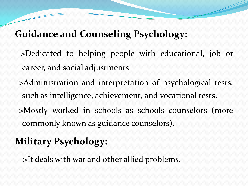#### **Guidance and Counseling Psychology:**

- >Dedicated to helping people with educational, job or career, and social adjustments.
- >Administration and interpretation of psychological tests, such as intelligence, achievement, and vocational tests.
- >Mostly worked in schools as schools counselors (more commonly known as guidance counselors).

# **Military Psychology:**

>It deals with war and other allied problems.